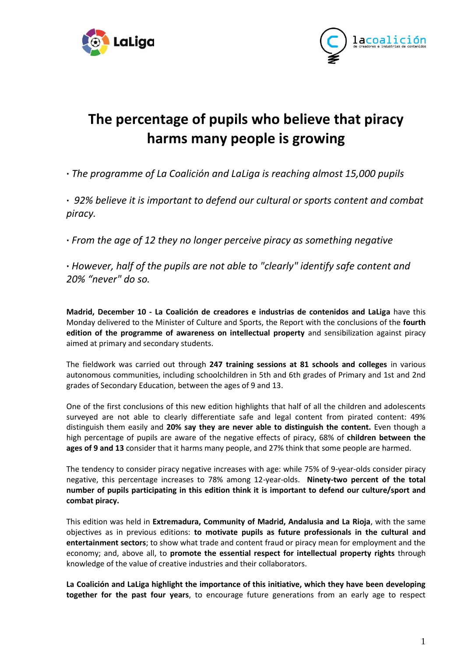



## **The percentage of pupils who believe that piracy harms many people is growing**

**·** *The programme of La Coalición and LaLiga is reaching almost 15,000 pupils*

**·** *92% believe it is important to defend our cultural or sports content and combat piracy.*

**·** *From the age of 12 they no longer perceive piracy as something negative* 

**·** *However, half of the pupils are not able to "clearly" identify safe content and 20% "never" do so.*

**Madrid, December 10 - La Coalición de creadores e industrias de contenidos and LaLiga** have this Monday delivered to the Minister of Culture and Sports, the Report with the conclusions of the **fourth edition of the programme of awareness on intellectual property** and sensibilization against piracy aimed at primary and secondary students.

The fieldwork was carried out through **247 training sessions at 81 schools and colleges** in various autonomous communities, including schoolchildren in 5th and 6th grades of Primary and 1st and 2nd grades of Secondary Education, between the ages of 9 and 13.

One of the first conclusions of this new edition highlights that half of all the children and adolescents surveyed are not able to clearly differentiate safe and legal content from pirated content: 49% distinguish them easily and **20% say they are never able to distinguish the content.** Even though a high percentage of pupils are aware of the negative effects of piracy, 68% of **children between the ages of 9 and 13** consider that it harms many people, and 27% think that some people are harmed.

The tendency to consider piracy negative increases with age: while 75% of 9-year-olds consider piracy negative, this percentage increases to 78% among 12-year-olds. **Ninety-two percent of the total number of pupils participating in this edition think it is important to defend our culture/sport and combat piracy.** 

This edition was held in **Extremadura, Community of Madrid, Andalusia and La Rioja**, with the same objectives as in previous editions: **to motivate pupils as future professionals in the cultural and entertainment sectors**; to show what trade and content fraud or piracy mean for employment and the economy; and, above all, to **promote the essential respect for intellectual property rights** through knowledge of the value of creative industries and their collaborators.

**La Coalición and LaLiga highlight the importance of this initiative, which they have been developing together for the past four years**, to encourage future generations from an early age to respect